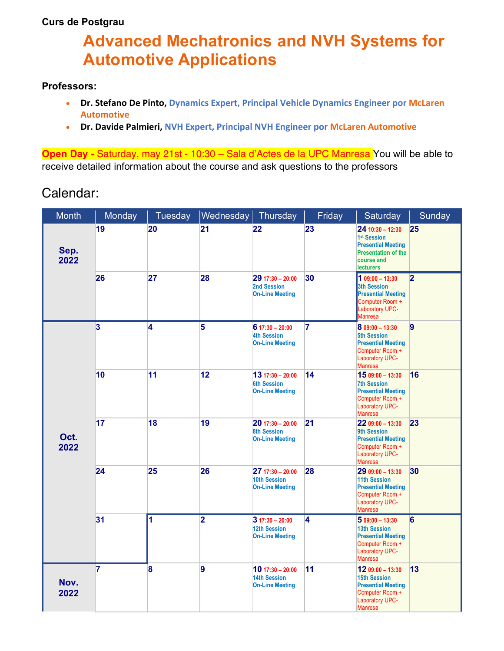## **Curs de Postgrau**

## **Advanced Mechatronics and NVH Systems for Automotive Applications**

## **Professors:**

- **Dr. Stefano De Pinto, Dynamics Expert, Principal Vehicle Dynamics Engineer por McLaren Automotive**
- **Dr. Davide Palmieri, NVH Expert, Principal NVH Engineer por McLaren Automotive**

**Open Day -** Saturday, may 21st - 10:30 – Sala d'Actes de la UPC Manresa You will be able to receive detailed information about the course and ask questions to the professors

## Calendar:

| <b>Month</b> | Monday                  | Tuesday                 | Wednesday   Thursday    |                                                                     | Friday                  | Saturday                                                                                                                                  | <b>Sunday</b>  |
|--------------|-------------------------|-------------------------|-------------------------|---------------------------------------------------------------------|-------------------------|-------------------------------------------------------------------------------------------------------------------------------------------|----------------|
| Sep.<br>2022 | 19                      | 20                      | 21                      | 22                                                                  | 23                      | $2410:30 - 12:30$<br>1 <sup>st</sup> Session<br><b>Presential Meeting</b><br><b>Presentation of the</b><br>course and<br><b>lecturers</b> | 25             |
|              | 26                      | 27                      | 28                      | $29$ 17:30 - 20:00<br>2nd Session<br><b>On-Line Meeting</b>         | 30                      | $109:00 - 13:30$<br><b>3th Session</b><br><b>Presential Meeting</b><br>Computer Room +<br>Laboratory UPC-<br><b>Manresa</b>               | $\overline{2}$ |
| Oct.<br>2022 | $\overline{\mathbf{3}}$ | 4                       | $\overline{\mathbf{5}}$ | $617:30 - 20:00$<br><b>4th Session</b><br><b>On-Line Meeting</b>    | 7                       | $809:00 - 13:30$<br>5th Session<br><b>Presential Meeting</b><br>Computer Room +<br><b>Laboratory UPC-</b><br><b>Manresa</b>               | $\vert$ 9      |
|              | 10                      | 11                      | 12                      | $1317:30 - 20:00$<br><b>6th Session</b><br><b>On-Line Meeting</b>   | 14                      | 15 09:00 - 13:30<br><b>7th Session</b><br><b>Presential Meeting</b><br>Computer Room +<br>Laboratory UPC-<br><b>Manresa</b>               | 16             |
|              | 17                      | 18                      | 19                      | $20$ 17:30 - 20:00<br><b>8th Session</b><br><b>On-Line Meeting</b>  | 21                      | 22 09:00 - 13:30<br>9th Session<br><b>Presential Meeting</b><br>Computer Room +<br>Laboratory UPC-<br><b>Manresa</b>                      | 23             |
|              | 24                      | 25                      | 26                      | $2717:30 - 20:00$<br>10th Session<br><b>On-Line Meeting</b>         | 28                      | $2909:00 - 13:30$<br><b>11th Session</b><br><b>Presential Meeting</b><br>Computer Room +<br><b>Laboratory UPC-</b><br><b>Manresa</b>      | 30             |
|              | 31                      | 1                       | $\overline{\mathbf{2}}$ | $317:30 - 20:00$<br>12th Session<br><b>On-Line Meeting</b>          | $\overline{\mathbf{4}}$ | $509:00 - 13:30$<br><b>13th Session</b><br><b>Presential Meeting</b><br>Computer Room +<br>Laboratory UPC-<br><b>Manresa</b>              | $6\phantom{a}$ |
| Nov.<br>2022 | 7                       | $\overline{\mathbf{8}}$ | 9                       | $10$ 17:30 - 20:00<br><b>14th Session</b><br><b>On-Line Meeting</b> | 11                      | 12 09:00 - 13:30<br><b>15th Session</b><br><b>Presential Meeting</b><br>Computer Room +<br><b>Laboratory UPC-</b><br><b>Manresa</b>       | 13             |